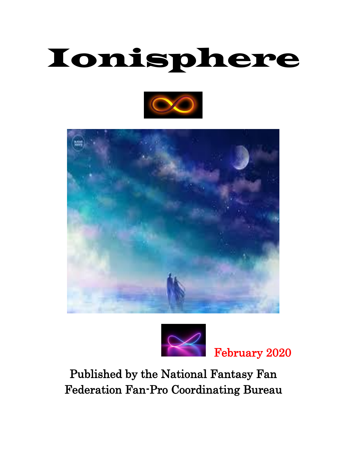# Ionisphere







February 2020

Published by the National Fantasy Fan Federation Fan-Pro Coordinating Bureau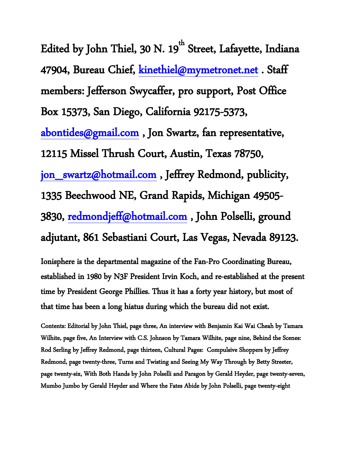Edited by John Thiel, 30 N. 19 $^{\rm th}$  Street, Lafayette, Indiana 47904, Bureau Chief, kinethiel@mymetronet.net. Staff members: Jefferson Swycaffer, pro support, Post Office Box 15373, San Diego, California 92175-5373, [abontides@gmail.com](mailto:abontides@gmail.com) , Jon Swartz, fan representative, 12115 Missel Thrush Court, Austin, Texas 78750, [jon\\_swartz@hotmail.com](mailto:jon_swartz@hotmail.com) , Jeffrey Redmond, publicity, 1335 Beechwood NE, Grand Rapids, Michigan 49505- 3830, [redmondjeff@hotmail.com](mailto:redmondjeff@hotmail.com) , John Polselli, ground adjutant, 861 Sebastiani Court, Las Vegas, Nevada 89123.

Ionisphere is the departmental magazine of the Fan-Pro Coordinating Bureau, established in 1980 by N3F President Irvin Koch, and re-established at the present time by President George Phillies. Thus it has a forty year history, but most of that time has been a long hiatus during which the bureau did not exist.

Contents: Editorial by John Thiel, page three, An interview with Benjamin Kai Wai Cheah by Tamara Wilhite, page five, An Interview with C.S. Johnson by Tamara Wilhite, page nine, Behind the Scenes: Rod Serling by Jeffrey Redmond, page thirteen, Cultural Pages: Compulsive Shoppers by Jeffrey Redmond, page twenty-three, Turns and Twisting and Seeing My Way Through by Betty Streeter, page twenty-six, With Both Hands by John Polselli and Paragon by Gerald Heyder, page twenty-seven, Mumbo Jumbo by Gerald Heyder and Where the Fates Abide by John Polselli, page twenty-eight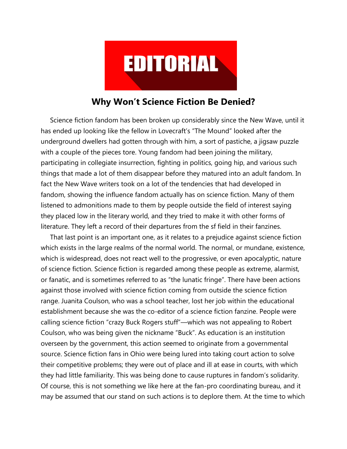

## **Why Won't Science Fiction Be Denied?**

 Science fiction fandom has been broken up considerably since the New Wave, until it has ended up looking like the fellow in Lovecraft's "The Mound" looked after the underground dwellers had gotten through with him, a sort of pastiche, a jigsaw puzzle with a couple of the pieces tore. Young fandom had been joining the military, participating in collegiate insurrection, fighting in politics, going hip, and various such things that made a lot of them disappear before they matured into an adult fandom. In fact the New Wave writers took on a lot of the tendencies that had developed in fandom, showing the influence fandom actually has on science fiction. Many of them listened to admonitions made to them by people outside the field of interest saying they placed low in the literary world, and they tried to make it with other forms of literature. They left a record of their departures from the sf field in their fanzines.

 That last point is an important one, as it relates to a prejudice against science fiction which exists in the large realms of the normal world. The normal, or mundane, existence, which is widespread, does not react well to the progressive, or even apocalyptic, nature of science fiction. Science fiction is regarded among these people as extreme, alarmist, or fanatic, and is sometimes referred to as "the lunatic fringe". There have been actions against those involved with science fiction coming from outside the science fiction range. Juanita Coulson, who was a school teacher, lost her job within the educational establishment because she was the co-editor of a science fiction fanzine. People were calling science fiction "crazy Buck Rogers stuff"—which was not appealing to Robert Coulson, who was being given the nickname "Buck". As education is an institution overseen by the government, this action seemed to originate from a governmental source. Science fiction fans in Ohio were being lured into taking court action to solve their competitive problems; they were out of place and ill at ease in courts, with which they had little familiarity. This was being done to cause ruptures in fandom's solidarity. Of course, this is not something we like here at the fan-pro coordinating bureau, and it may be assumed that our stand on such actions is to deplore them. At the time to which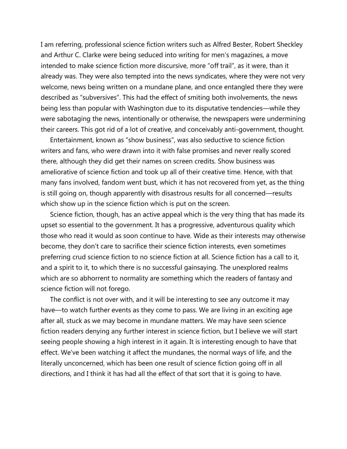I am referring, professional science fiction writers such as Alfred Bester, Robert Sheckley and Arthur C. Clarke were being seduced into writing for men's magazines, a move intended to make science fiction more discursive, more "off trail", as it were, than it already was. They were also tempted into the news syndicates, where they were not very welcome, news being written on a mundane plane, and once entangled there they were described as "subversives". This had the effect of smiting both involvements, the news being less than popular with Washington due to its disputative tendencies—while they were sabotaging the news, intentionally or otherwise, the newspapers were undermining their careers. This got rid of a lot of creative, and conceivably anti-government, thought.

 Entertainment, known as "show business", was also seductive to science fiction writers and fans, who were drawn into it with false promises and never really scored there, although they did get their names on screen credits. Show business was ameliorative of science fiction and took up all of their creative time. Hence, with that many fans involved, fandom went bust, which it has not recovered from yet, as the thing is still going on, though apparently with disastrous results for all concerned—results which show up in the science fiction which is put on the screen.

 Science fiction, though, has an active appeal which is the very thing that has made its upset so essential to the government. It has a progressive, adventurous quality which those who read it would as soon continue to have. Wide as their interests may otherwise become, they don't care to sacrifice their science fiction interests, even sometimes preferring crud science fiction to no science fiction at all. Science fiction has a call to it, and a spirit to it, to which there is no successful gainsaying. The unexplored realms which are so abhorrent to normality are something which the readers of fantasy and science fiction will not forego.

 The conflict is not over with, and it will be interesting to see any outcome it may have—to watch further events as they come to pass. We are living in an exciting age after all, stuck as we may become in mundane matters. We may have seen science fiction readers denying any further interest in science fiction, but I believe we will start seeing people showing a high interest in it again. It is interesting enough to have that effect. We've been watching it affect the mundanes, the normal ways of life, and the literally unconcerned, which has been one result of science fiction going off in all directions, and I think it has had all the effect of that sort that it is going to have.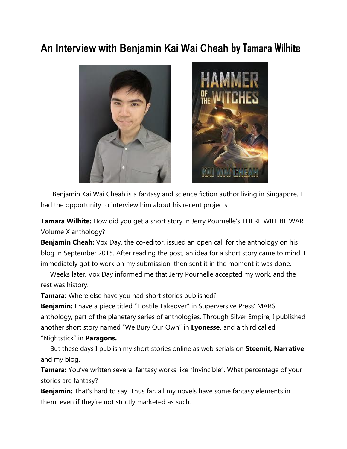# **An Interview with Benjamin Kai Wai Cheah by Tamara Wilhite**



Benjamin Kai Wai Cheah is a fantasy and science fiction author living in Singapore. I had the opportunity to interview him about his recent projects.

**Tamara Wilhite:** How did you get a short story in Jerry Pournelle's THERE WILL BE WAR Volume X anthology?

**Benjamin Cheah:** Vox Day, the co-editor, issued an open call for the anthology on his blog in September 2015. After reading the post, an idea for a short story came to mind. I immediately got to work on my submission, then sent it in the moment it was done.

 Weeks later, Vox Day informed me that Jerry Pournelle accepted my work, and the rest was history.

**Tamara:** Where else have you had short stories published?

**Benjamin:** I have a piece titled "Hostile Takeover" in Superversive Press' MARS anthology, part of the planetary series of anthologies. Through Silver Empire, I published another short story named "We Bury Our Own" in **Lyonesse,** and a third called "Nightstick" in **Paragons.** 

But these days I publish my short stories online as web serials on **Steemit, Narrative**  and my blog.

**Tamara:** You've written several fantasy works like "Invincible". What percentage of your stories are fantasy?

**Benjamin:** That's hard to say. Thus far, all my novels have some fantasy elements in them, even if they're not strictly marketed as such.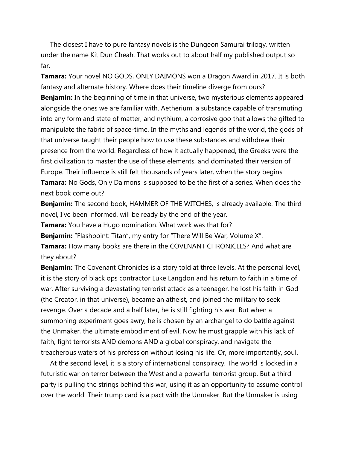The closest I have to pure fantasy novels is the Dungeon Samurai trilogy, written under the name Kit Dun Cheah. That works out to about half my published output so far.

**Tamara:** Your novel NO GODS, ONLY DAIMONS won a Dragon Award in 2017. It is both fantasy and alternate history. Where does their timeline diverge from ours?

**Benjamin:** In the beginning of time in that universe, two mysterious elements appeared alongside the ones we are familiar with. Aetherium, a substance capable of transmuting into any form and state of matter, and nythium, a corrosive goo that allows the gifted to manipulate the fabric of space-time. In the myths and legends of the world, the gods of that universe taught their people how to use these substances and withdrew their presence from the world. Regardless of how it actually happened, the Greeks were the first civilization to master the use of these elements, and dominated their version of Europe. Their influence is still felt thousands of years later, when the story begins.

**Tamara:** No Gods, Only Daimons is supposed to be the first of a series. When does the next book come out?

**Benjamin:** The second book, HAMMER OF THE WITCHES, is already available. The third novel, I've been informed, will be ready by the end of the year.

**Tamara:** You have a Hugo nomination. What work was that for?

**Benjamin:** "Flashpoint: Titan", my entry for "There Will Be War, Volume X".

**Tamara:** How many books are there in the COVENANT CHRONICLES? And what are they about?

**Benjamin:** The Covenant Chronicles is a story told at three levels. At the personal level, it is the story of black ops contractor Luke Langdon and his return to faith in a time of war. After surviving a devastating terrorist attack as a teenager, he lost his faith in God (the Creator, in that universe), became an atheist, and joined the military to seek revenge. Over a decade and a half later, he is still fighting his war. But when a summoning experiment goes awry, he is chosen by an archangel to do battle against the Unmaker, the ultimate embodiment of evil. Now he must grapple with his lack of faith, fight terrorists AND demons AND a global conspiracy, and navigate the treacherous waters of his profession without losing his life. Or, more importantly, soul.

 At the second level, it is a story of international conspiracy. The world is locked in a futuristic war on terror between the West and a powerful terrorist group. But a third party is pulling the strings behind this war, using it as an opportunity to assume control over the world. Their trump card is a pact with the Unmaker. But the Unmaker is using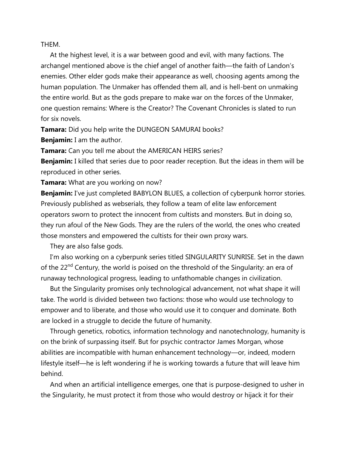THEM.

 At the highest level, it is a war between good and evil, with many factions. The archangel mentioned above is the chief angel of another faith—the faith of Landon's enemies. Other elder gods make their appearance as well, choosing agents among the human population. The Unmaker has offended them all, and is hell-bent on unmaking the entire world. But as the gods prepare to make war on the forces of the Unmaker, one question remains: Where is the Creator? The Covenant Chronicles is slated to run for six novels.

**Tamara:** Did you help write the DUNGEON SAMURAI books?

**Benjamin:** I am the author.

**Tamara:** Can you tell me about the AMERICAN HEIRS series?

**Benjamin:** I killed that series due to poor reader reception. But the ideas in them will be reproduced in other series.

**Tamara:** What are you working on now?

**Benjamin:** I've just completed BABYLON BLUES, a collection of cyberpunk horror stories. Previously published as webserials, they follow a team of elite law enforcement operators sworn to protect the innocent from cultists and monsters. But in doing so, they run afoul of the New Gods. They are the rulers of the world, the ones who created those monsters and empowered the cultists for their own proxy wars.

They are also false gods.

 I'm also working on a cyberpunk series titled SINGULARITY SUNRISE. Set in the dawn of the 22<sup>nd</sup> Century, the world is poised on the threshold of the Singularity: an era of runaway technological progress, leading to unfathomable changes in civilization.

 But the Singularity promises only technological advancement, not what shape it will take. The world is divided between two factions: those who would use technology to empower and to liberate, and those who would use it to conquer and dominate. Both are locked in a struggle to decide the future of humanity.

 Through genetics, robotics, information technology and nanotechnology, humanity is on the brink of surpassing itself. But for psychic contractor James Morgan, whose abilities are incompatible with human enhancement technology—or, indeed, modern lifestyle itself—he is left wondering if he is working towards a future that will leave him behind.

 And when an artificial intelligence emerges, one that is purpose-designed to usher in the Singularity, he must protect it from those who would destroy or hijack it for their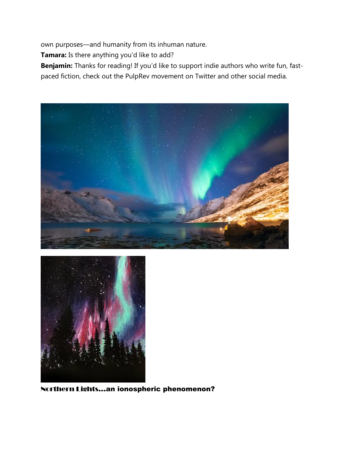own purposes—and humanity from its inhuman nature.

**Tamara:** Is there anything you'd like to add?

**Benjamin:** Thanks for reading! If you'd like to support indie authors who write fun, fastpaced fiction, check out the PulpRev movement on Twitter and other social media.





Northern Lights…an ionospheric phenomenon?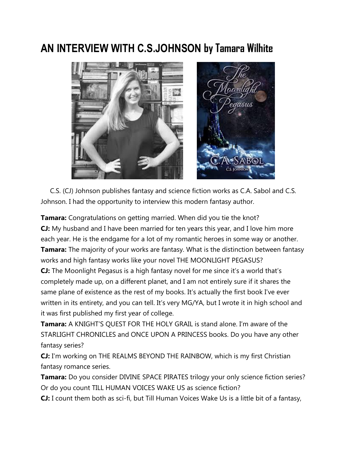# **AN INTERVIEW WITH C.S.JOHNSON by Tamara Wilhite**



 C.S. (CJ) Johnson publishes fantasy and science fiction works as C.A. Sabol and C.S. Johnson. I had the opportunity to interview this modern fantasy author.

**Tamara:** Congratulations on getting married. When did you tie the knot? **CJ:** My husband and I have been married for ten years this year, and I love him more each year. He is the endgame for a lot of my romantic heroes in some way or another. **Tamara:** The majority of your works are fantasy. What is the distinction between fantasy works and high fantasy works like your novel THE MOONLIGHT PEGASUS?

**CJ:** The Moonlight Pegasus is a high fantasy novel for me since it's a world that's completely made up, on a different planet, and I am not entirely sure if it shares the same plane of existence as the rest of my books. It's actually the first book I've ever written in its entirety, and you can tell. It's very MG/YA, but I wrote it in high school and it was first published my first year of college.

**Tamara:** A KNIGHT'S QUEST FOR THE HOLY GRAIL is stand alone. I'm aware of the STARLIGHT CHRONICLES and ONCE UPON A PRINCESS books. Do you have any other fantasy series?

**CJ:** I'm working on THE REALMS BEYOND THE RAINBOW, which is my first Christian fantasy romance series.

**Tamara:** Do you consider DIVINE SPACE PIRATES trilogy your only science fiction series? Or do you count TILL HUMAN VOICES WAKE US as science fiction?

**CJ:** I count them both as sci-fi, but Till Human Voices Wake Us is a little bit of a fantasy,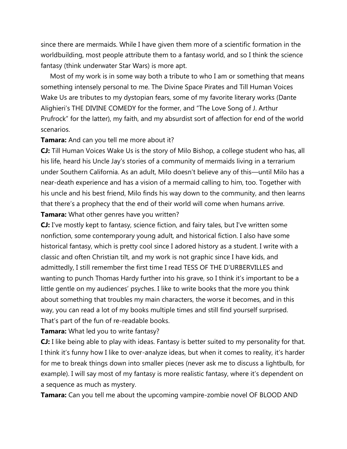since there are mermaids. While I have given them more of a scientific formation in the worldbuilding, most people attribute them to a fantasy world, and so I think the science fantasy (think underwater Star Wars) is more apt.

 Most of my work is in some way both a tribute to who I am or something that means something intensely personal to me. The Divine Space Pirates and Till Human Voices Wake Us are tributes to my dystopian fears, some of my favorite literary works (Dante Alighieri's THE DIVINE COMEDY for the former, and "The Love Song of J. Arthur Prufrock" for the latter), my faith, and my absurdist sort of affection for end of the world scenarios.

## **Tamara:** And can you tell me more about it?

**CJ:** Till Human Voices Wake Us is the story of Milo Bishop, a college student who has, all his life, heard his Uncle Jay's stories of a community of mermaids living in a terrarium under Southern California. As an adult, Milo doesn't believe any of this—until Milo has a near-death experience and has a vision of a mermaid calling to him, too. Together with his uncle and his best friend, Milo finds his way down to the community, and then learns that there's a prophecy that the end of their world will come when humans arrive. **Tamara:** What other genres have you written?

**CJ:** I've mostly kept to fantasy, science fiction, and fairy tales, but I've written some nonfiction, some contemporary young adult, and historical fiction. I also have some historical fantasy, which is pretty cool since I adored history as a student. I write with a classic and often Christian tilt, and my work is not graphic since I have kids, and admittedly, I still remember the first time I read TESS OF THE D'URBERVILLES and wanting to punch Thomas Hardy further into his grave, so I think it's important to be a little gentle on my audiences' psyches. I like to write books that the more you think about something that troubles my main characters, the worse it becomes, and in this way, you can read a lot of my books multiple times and still find yourself surprised. That's part of the fun of re-readable books.

## **Tamara:** What led you to write fantasy?

**CJ:** I like being able to play with ideas. Fantasy is better suited to my personality for that. I think it's funny how I like to over-analyze ideas, but when it comes to reality, it's harder for me to break things down into smaller pieces (never ask me to discuss a lightbulb, for example). I will say most of my fantasy is more realistic fantasy, where it's dependent on a sequence as much as mystery.

**Tamara:** Can you tell me about the upcoming vampire-zombie novel OF BLOOD AND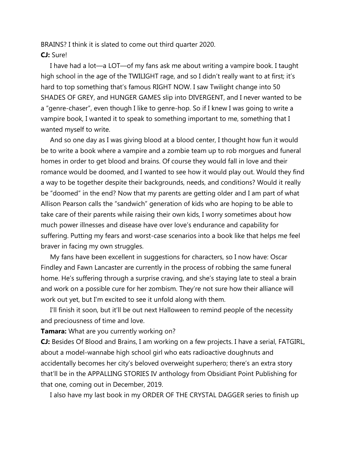BRAINS? I think it is slated to come out third quarter 2020. **CJ:** Sure!

 I have had a lot—a LOT—of my fans ask me about writing a vampire book. I taught high school in the age of the TWILIGHT rage, and so I didn't really want to at first; it's hard to top something that's famous RIGHT NOW. I saw Twilight change into 50 SHADES OF GREY, and HUNGER GAMES slip into DIVERGENT, and I never wanted to be a "genre-chaser", even though I like to genre-hop. So if I knew I was going to write a vampire book, I wanted it to speak to something important to me, something that I wanted myself to write.

 And so one day as I was giving blood at a blood center, I thought how fun it would be to write a book where a vampire and a zombie team up to rob morgues and funeral homes in order to get blood and brains. Of course they would fall in love and their romance would be doomed, and I wanted to see how it would play out. Would they find a way to be together despite their backgrounds, needs, and conditions? Would it really be "doomed" in the end? Now that my parents are getting older and I am part of what Allison Pearson calls the "sandwich" generation of kids who are hoping to be able to take care of their parents while raising their own kids, I worry sometimes about how much power illnesses and disease have over love's endurance and capability for suffering. Putting my fears and worst-case scenarios into a book like that helps me feel braver in facing my own struggles.

 My fans have been excellent in suggestions for characters, so I now have: Oscar Findley and Fawn Lancaster are currently in the process of robbing the same funeral home. He's suffering through a surprise craving, and she's staying late to steal a brain and work on a possible cure for her zombism. They're not sure how their alliance will work out yet, but I'm excited to see it unfold along with them.

 I'll finish it soon, but it'll be out next Halloween to remind people of the necessity and preciousness of time and love.

**Tamara:** What are you currently working on?

**CJ:** Besides Of Blood and Brains, I am working on a few projects. I have a serial, FATGIRL, about a model-wannabe high school girl who eats radioactive doughnuts and accidentally becomes her city's beloved overweight superhero; there's an extra story that'll be in the APPALLING STORIES IV anthology from Obsidiant Point Publishing for that one, coming out in December, 2019.

I also have my last book in my ORDER OF THE CRYSTAL DAGGER series to finish up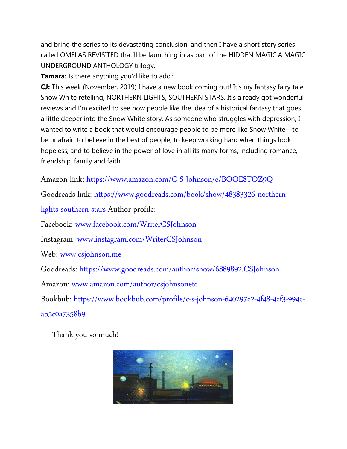and bring the series to its devastating conclusion, and then I have a short story series called OMELAS REVISITED that'll be launching in as part of the HIDDEN MAGIC:A MAGIC UNDERGROUND ANTHOLOGY trilogy.

**Tamara:** Is there anything you'd like to add?

**CJ:** This week (November, 2019) I have a new book coming out! It's my fantasy fairy tale Snow White retelling, NORTHERN LIGHTS, SOUTHERN STARS. It's already got wonderful reviews and I'm excited to see how people like the idea of a historical fantasy that goes a little deeper into the Snow White story. As someone who struggles with depression, I wanted to write a book that would encourage people to be more like Snow White—to be unafraid to believe in the best of people, to keep working hard when things look hopeless, and to believe in the power of love in all its many forms, including romance, friendship, family and faith.

Amazon link:<https://www.amazon.com/C-S-Johnson/e/BOOE8TOZ9Q>

Goodreads link: [https://www.goodreads.com/book/show/48383326-northern-](https://www.goodreads.com/book/show/48383326-northern-lights-southern-stars)

[lights-southern-stars](https://www.goodreads.com/book/show/48383326-northern-lights-southern-stars) Author profile:

Facebook: [www.facebook.com/WriterCSJohnson](http://www.facebook.com/WriterCSJohnson)

Instagram: [www.instagram.com/WriterCSJohnson](http://www.instagram.com/WriterCSJohnson)

Web: [www.csjohnson.me](http://www.csjohnson.me/)

Goodreads:<https://www.goodreads.com/author/show/6889892.CSJohnson>

Amazon: [www.amazon.com/author/csjohnsonetc](http://www.amazon.com/author/csjohnsonetc)

Bookbub: [https://www.bookbub.com/profile/c-s-johnson-640297c2-4f48-4cf3-994c-](https://www.bookbub.com/profile/c-s-johnson-640297c2-4f48-4cf3-994c-ab5c0a7358b9)

[ab5c0a7358b9](https://www.bookbub.com/profile/c-s-johnson-640297c2-4f48-4cf3-994c-ab5c0a7358b9)

Thank you so much!

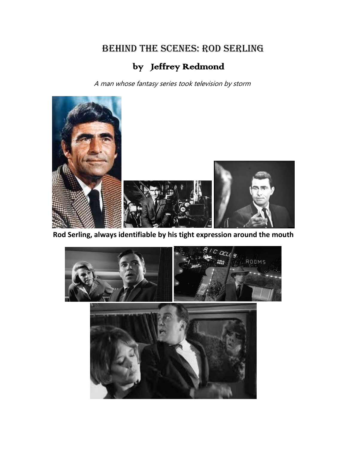# Behind the scenes: Rod Serling

# by Jeffrey Redmond

A man whose fantasy series took television by storm



**Rod Serling, always identifiable by his tight expression around the mouth**

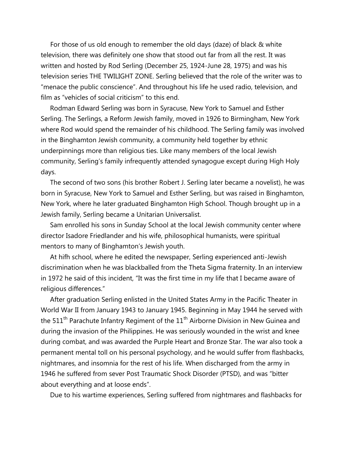For those of us old enough to remember the old days (daze) of black & white television, there was definitely one show that stood out far from all the rest. It was written and hosted by Rod Serling (December 25, 1924-June 28, 1975) and was his television series THE TWILIGHT ZONE. Serling believed that the role of the writer was to "menace the public conscience". And throughout his life he used radio, television, and film as "vehicles of social criticism" to this end.

 Rodman Edward Serling was born in Syracuse, New York to Samuel and Esther Serling. The Serlings, a Reform Jewish family, moved in 1926 to Birmingham, New York where Rod would spend the remainder of his childhood. The Serling family was involved in the Binghamton Jewish community, a community held together by ethnic underpinnings more than religious ties. Like many members of the local Jewish community, Serling's family infrequently attended synagogue except during High Holy days.

 The second of two sons (his brother Robert J. Serling later became a novelist), he was born in Syracuse, New York to Samuel and Esther Serling, but was raised in Binghamton, New York, where he later graduated Binghamton High School. Though brought up in a Jewish family, Serling became a Unitarian Universalist.

 Sam enrolled his sons in Sunday School at the local Jewish community center where director Isadore Friedlander and his wife, philosophical humanists, were spiritual mentors to many of Binghamton's Jewish youth.

 At hifh school, where he edited the newspaper, Serling experienced anti-Jewish discrimination when he was blackballed from the Theta Sigma fraternity. In an interview in 1972 he said of this incident, "It was the first time in my life that I became aware of religious differences."

 After graduation Serling enlisted in the United States Army in the Pacific Theater in World War II from January 1943 to January 1945. Beginning in May 1944 he served with the  $511<sup>th</sup>$  Parachute Infantry Regiment of the  $11<sup>th</sup>$  Airborne Division in New Guinea and during the invasion of the Philippines. He was seriously wounded in the wrist and knee during combat, and was awarded the Purple Heart and Bronze Star. The war also took a permanent mental toll on his personal psychology, and he would suffer from flashbacks, nightmares, and insomnia for the rest of his life. When discharged from the army in 1946 he suffered from sever Post Traumatic Shock Disorder (PTSD), and was "bitter about everything and at loose ends".

Due to his wartime experiences, Serling suffered from nightmares and flashbacks for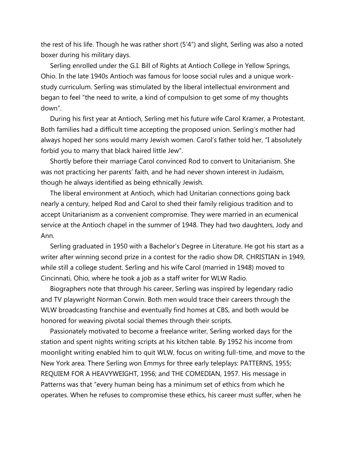the rest of his life. Though he was rather short (5'4") and slight, Serling was also a noted boxer during his military days.

 Serling enrolled under the G.I. Bill of Rights at Antioch College in Yellow Springs, Ohio. In the late 1940s Antioch was famous for loose social rules and a unique workstudy curriculum. Serling was stimulated by the liberal intellectual environment and began to feel "the need to write, a kind of compulsion to get some of my thoughts down".

 During his first year at Antioch, Serling met his future wife Carol Kramer, a Protestant. Both families had a difficult time accepting the proposed union. Serling's mother had always hoped her sons would marry Jewish women. Carol's father told her, "I absolutely forbid you to marry that black haired little Jew".

 Shortly before their marriage Carol convinced Rod to convert to Unitarianism. She was not practicing her parents' faith, and he had never shown interest in Judaism, though he always identified as being ethnically Jewish.

 The liberal environment at Antioch, which had Unitarian connections going back nearly a century, helped Rod and Carol to shed their family religious tradition and to accept Unitarianism as a convenient compromise. They were married in an ecumenical service at the Antioch chapel in the summer of 1948. They had two daughters, Jody and Ann.

 Serling graduated in 1950 with a Bachelor's Degree in Literature. He got his start as a writer after winning second prize in a contest for the radio show DR. CHRISTIAN in 1949, while still a college student. Serling and his wife Carol (married in 1948) moved to Cincinnati, Ohio, where he took a job as a staff writer for WLW Radio.

 Biographers note that through his career, Serling was inspired by legendary radio and TV playwright Norman Corwin. Both men would trace their careers through the WLW broadcasting franchise and eventually find homes at CBS, and both would be honored for weaving pivotal social themes through their scripts.

 Passionately motivated to become a freelance writer, Serling worked days for the station and spent nights writing scripts at his kitchen table. By 1952 his income from moonlight writing enabled him to quit WLW, focus on writing full-time, and move to the New York area. There Serling won Emmys for three early teleplays: PATTERNS, 1955; REQUIEM FOR A HEAVYWEIGHT, 1956; and THE COMEDIAN, 1957. His message in Patterns was that "every human being has a minimum set of ethics from which he operates. When he refuses to compromise these ethics, his career must suffer, when he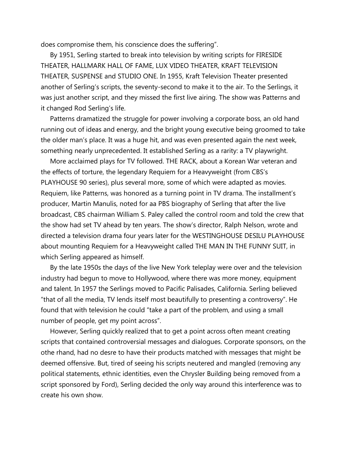does compromise them, his conscience does the suffering".

 By 1951, Serling started to break into television by writing scripts for FIRESIDE THEATER, HALLMARK HALL OF FAME, LUX VIDEO THEATER, KRAFT TELEVISION THEATER, SUSPENSE and STUDIO ONE. In 1955, Kraft Television Theater presented another of Serling's scripts, the seventy-second to make it to the air. To the Serlings, it was just another script, and they missed the first live airing. The show was Patterns and it changed Rod Serling's life.

 Patterns dramatized the struggle for power involving a corporate boss, an old hand running out of ideas and energy, and the bright young executive being groomed to take the older man's place. It was a huge hit, and was even presented again the next week, something nearly unprecedented. It established Serling as a rarity: a TV playwright.

 More acclaimed plays for TV followed. THE RACK, about a Korean War veteran and the effects of torture, the legendary Requiem for a Heavyweight (from CBS's PLAYHOUSE 90 series), plus several more, some of which were adapted as movies. Requiem, like Patterns, was honored as a turning point in TV drama. The installment's producer, Martin Manulis, noted for aa PBS biography of Serling that after the live broadcast, CBS chairman William S. Paley called the control room and told the crew that the show had set TV ahead by ten years. The show's director, Ralph Nelson, wrote and directed a television drama four years later for the WESTINGHOUSE DESILU PLAYHOUSE about mounting Requiem for a Heavyweight called THE MAN IN THE FUNNY SUIT, in which Serling appeared as himself.

 By the late 1950s the days of the live New York teleplay were over and the television industry had begun to move to Hollywood, where there was more money, equipment and talent. In 1957 the Serlings moved to Pacific Palisades, California. Serling believed "that of all the media, TV lends itself most beautifully to presenting a controversy". He found that with television he could "take a part of the problem, and using a small number of people, get my point across".

 However, Serling quickly realized that to get a point across often meant creating scripts that contained controversial messages and dialogues. Corporate sponsors, on the othe rhand, had no desre to have their products matched with messages that might be deemed offensive. But, tired of seeing his scripts neutered and mangled (removing any political statements, ethnic identities, even the Chrysler Building being removed from a script sponsored by Ford), Serling decided the only way around this interference was to create his own show.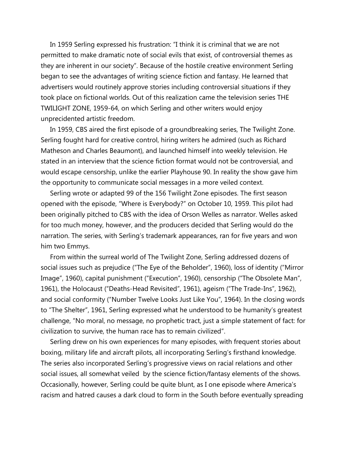In 1959 Serling expressed his frustration: "I think it is criminal that we are not permitted to make dramatic note of social evils that exist, of controversial themes as they are inherent in our society". Because of the hostile creative environment Serling began to see the advantages of writing science fiction and fantasy. He learned that advertisers would routinely approve stories including controversial situations if they took place on fictional worlds. Out of this realization came the television series THE TWILIGHT ZONE, 1959-64, on which Serling and other writers would enjoy unprecidented artistic freedom.

 In 1959, CBS aired the first episode of a groundbreaking series, The Twilight Zone. Serling fought hard for creative control, hiring writers he admired (such as Richard Matheson and Charles Beaumont), and launched himself into weekly television. He stated in an interview that the science fiction format would not be controversial, and would escape censorship, unlike the earlier Playhouse 90. In reality the show gave him the opportunity to communicate social messages in a more veiled context.

 Serling wrote or adapted 99 of the 156 Twilight Zone episodes. The first season opened with the episode, "Where is Everybody?" on October 10, 1959. This pilot had been originally pitched to CBS with the idea of Orson Welles as narrator. Welles asked for too much money, however, and the producers decided that Serling would do the narration. The series, with Serling's trademark appearances, ran for five years and won him two Emmys.

 From within the surreal world of The Twilight Zone, Serling addressed dozens of social issues such as prejudice ("The Eye of the Beholder", 1960), loss of identity ("Mirror Image", 1960), capital punishment ("Execution", 1960), censorship ("The Obsolete Man", 1961), the Holocaust ("Deaths-Head Revisited", 1961), ageism ("The Trade-Ins", 1962), and social conformity ("Number Twelve Looks Just Like You", 1964). In the closing words to "The Shelter", 1961, Serling expressed what he understood to be humanity's greatest challenge, "No moral, no message, no prophetic tract, just a simple statement of fact: for civilization to survive, the human race has to remain civilized".

 Serling drew on his own experiences for many episodes, with frequent stories about boxing, military life and aircraft pilots, all incorporating Serling's firsthand knowledge. The series also incorporated Serling's progressive views on racial relations and other social issues, all somewhat veiled by the science fiction/fantasy elements of the shows. Occasionally, however, Serling could be quite blunt, as I one episode where America's racism and hatred causes a dark cloud to form in the South before eventually spreading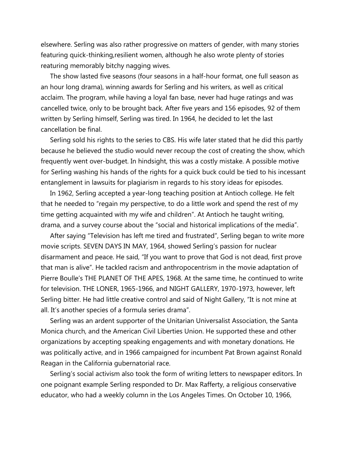elsewhere. Serling was also rather progressive on matters of gender, with many stories featuring quick-thinking,resilient women, although he also wrote plenty of stories reaturing memorably bitchy nagging wives.

 The show lasted five seasons (four seasons in a half-hour format, one full season as an hour long drama), winning awards for Serling and his writers, as well as critical acclaim. The program, while having a loyal fan base, never had huge ratings and was cancelled twice, only to be brought back. After five years and 156 episodes, 92 of them written by Serling himself, Serling was tired. In 1964, he decided to let the last cancellation be final.

 Serling sold his rights to the series to CBS. His wife later stated that he did this partly because he believed the studio would never recoup the cost of creating the show, which frequently went over-budget. In hindsight, this was a costly mistake. A possible motive for Serling washing his hands of the rights for a quick buck could be tied to his incessant entanglement in lawsuits for plagiarism in regards to his story ideas for episodes.

 In 1962, Serling accepted a year-long teaching position at Antioch college. He felt that he needed to "regain my perspective, to do a little work and spend the rest of my time getting acquainted with my wife and children". At Antioch he taught writing, drama, and a survey course about the "social and historical implications of the media".

 After saying "Television has left me tired and frustrated", Serling began to write more movie scripts. SEVEN DAYS IN MAY, 1964, showed Serling's passion for nuclear disarmament and peace. He said, "If you want to prove that God is not dead, first prove that man is alive". He tackled racism and anthropocentrism in the movie adaptation of Pierre Boulle's THE PLANET OF THE APES, 1968. At the same time, he continued to write for television. THE LONER, 1965-1966, and NIGHT GALLERY, 1970-1973, however, left Serling bitter. He had little creative control and said of Night Gallery, "It is not mine at all. It's another species of a formula series drama".

 Serling was an ardent supporter of the Unitarian Universalist Association, the Santa Monica church, and the American Civil Liberties Union. He supported these and other organizations by accepting speaking engagements and with monetary donations. He was politically active, and in 1966 campaigned for incumbent Pat Brown against Ronald Reagan in the California gubernatorial race.

 Serling's social activism also took the form of writing letters to newspaper editors. In one poignant example Serling responded to Dr. Max Rafferty, a religious conservative educator, who had a weekly column in the Los Angeles Times. On October 10, 1966,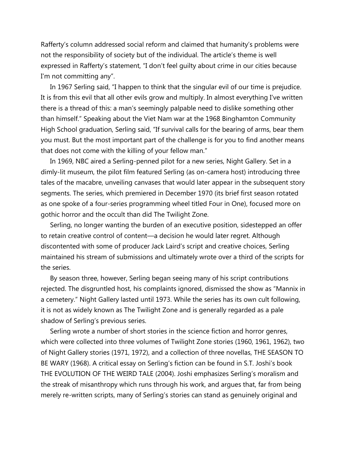Rafferty's column addressed social reform and claimed that humanity's problems were not the responsibility of society but of the individual. The article's theme is well expressed in Rafferty's statement, "I don't feel guilty about crime in our cities because I'm not committing any".

 In 1967 Serling said, "I happen to think that the singular evil of our time is prejudice. It is from this evil that all other evils grow and multiply. In almost everything I've written there is a thread of this: a man's seemingly palpable need to dislike something other than himself." Speaking about the Viet Nam war at the 1968 Binghamton Community High School graduation, Serling said, "If survival calls for the bearing of arms, bear them you must. But the most important part of the challenge is for you to find another means that does not come with the killing of your fellow man."

 In 1969, NBC aired a Serling-penned pilot for a new series, Night Gallery. Set in a dimly-lit museum, the pilot film featured Serling (as on-camera host) introducing three tales of the macabre, unveiling canvases that would later appear in the subsequent story segments. The series, which premiered in December 1970 (its brief first season rotated as one spoke of a four-series programming wheel titled Four in One), focused more on gothic horror and the occult than did The Twilight Zone.

 Serling, no longer wanting the burden of an executive position, sidestepped an offer to retain creative control of content—a decision he would later regret. Although discontented with some of producer Jack Laird's script and creative choices, Serling maintained his stream of submissions and ultimately wrote over a third of the scripts for the series.

 By season three, however, Serling began seeing many of his script contributions rejected. The disgruntled host, his complaints ignored, dismissed the show as "Mannix in a cemetery." Night Gallery lasted until 1973. While the series has its own cult following, it is not as widely known as The Twilight Zone and is generally regarded as a pale shadow of Serling's previous series.

 Serling wrote a number of short stories in the science fiction and horror genres, which were collected into three volumes of Twilight Zone stories (1960, 1961, 1962), two of Night Gallery stories (1971, 1972), and a collection of three novellas, THE SEASON TO BE WARY (1968). A critical essay on Serling's fiction can be found in S.T. Joshi's book THE EVOLUTION OF THE WEIRD TALE (2004). Joshi emphasizes Serling's moralism and the streak of misanthropy which runs through his work, and argues that, far from being merely re-written scripts, many of Serling's stories can stand as genuinely original and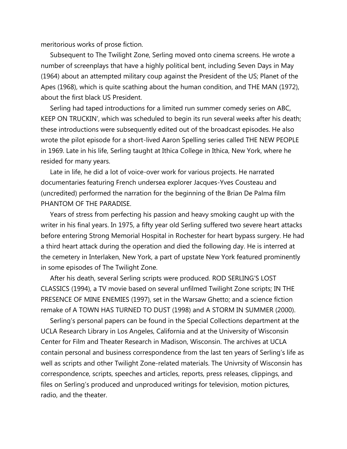meritorious works of prose fiction.

 Subsequent to The Twilight Zone, Serling moved onto cinema screens. He wrote a number of screenplays that have a highly political bent, including Seven Days in May (1964) about an attempted military coup against the President of the US; Planet of the Apes (1968), which is quite scathing about the human condition, and THE MAN (1972), about the first black US President.

 Serling had taped introductions for a limited run summer comedy series on ABC, KEEP ON TRUCKIN', which was scheduled to begin its run several weeks after his death; these introductions were subsequently edited out of the broadcast episodes. He also wrote the pilot episode for a short-lived Aaron Spelling series called THE NEW PEOPLE in 1969. Late in his life, Serling taught at Ithica College in Ithica, New York, where he resided for many years.

 Late in life, he did a lot of voice-over work for various projects. He narrated documentaries featuring French undersea explorer Jacques-Yves Cousteau and (uncredited) performed the narration for the beginning of the Brian De Palma film PHANTOM OF THE PARADISE.

 Years of stress from perfecting his passion and heavy smoking caught up with the writer in his final years. In 1975, a fifty year old Serling suffered two severe heart attacks before entering Strong Memorial Hospital in Rochester for heart bypass surgery. He had a third heart attack during the operation and died the following day. He is interred at the cemetery in Interlaken, New York, a part of upstate New York featured prominently in some episodes of The Twilight Zone.

 After his death, several Serling scripts were produced. ROD SERLING'S LOST CLASSICS (1994), a TV movie based on several unfilmed Twilight Zone scripts; IN THE PRESENCE OF MINE ENEMIES (1997), set in the Warsaw Ghetto; and a science fiction remake of A TOWN HAS TURNED TO DUST (1998) and A STORM IN SUMMER (2000).

 Serling's personal papers can be found in the Special Collections department at the UCLA Research Library in Los Angeles, California and at the University of Wisconsin Center for Film and Theater Research in Madison, Wisconsin. The archives at UCLA contain personal and business correspondence from the last ten years of Serling's life as well as scripts and other Twilight Zone-related materials. The Univrsity of Wisconsin has correspondence, scripts, speeches and articles, reports, press releases, clippings, and files on Serling's produced and unproduced writings for television, motion pictures, radio, and the theater.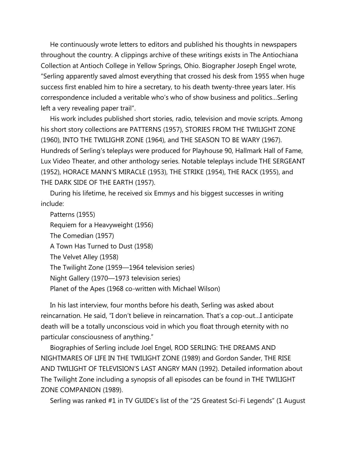He continuously wrote letters to editors and published his thoughts in newspapers throughout the country. A clippings archive of these writings exists in The Antiochiana Collection at Antioch College in Yellow Springs, Ohio. Biographer Joseph Engel wrote, "Serling apparently saved almost everything that crossed his desk from 1955 when huge success first enabled him to hire a secretary, to his death twenty-three years later. His correspondence included a veritable who's who of show business and politics…Serling left a very revealing paper trail".

 His work includes published short stories, radio, television and movie scripts. Among his short story collections are PATTERNS (1957), STORIES FROM THE TWILIGHT ZONE (1960), INTO THE TWILIGHR ZONE (1964), and THE SEASON TO BE WARY (1967). Hundreds of Serling's teleplays were produced for Playhouse 90, Hallmark Hall of Fame, Lux Video Theater, and other anthology series. Notable teleplays include THE SERGEANT (1952), HORACE MANN'S MIRACLE (1953), THE STRIKE (1954), THE RACK (1955), and THE DARK SIDE OF THE EARTH (1957).

 During his lifetime, he received six Emmys and his biggest successes in writing include:

 Patterns (1955) Requiem for a Heavyweight (1956) The Comedian (1957) A Town Has Turned to Dust (1958) The Velvet Alley (1958) The Twilight Zone (1959—1964 television series) Night Gallery (1970—1973 television series) Planet of the Apes (1968 co-written with Michael Wilson)

 In his last interview, four months before his death, Serling was asked about reincarnation. He said, "I don't believe in reincarnation. That's a cop-out…I anticipate death will be a totally unconscious void in which you float through eternity with no particular consciousness of anything."

 Biographies of Serling include Joel Engel, ROD SERLING: THE DREAMS AND NIGHTMARES OF LIFE IN THE TWILIGHT ZONE (1989) and Gordon Sander, THE RISE AND TWILIGHT OF TELEVISION'S LAST ANGRY MAN (1992). Detailed information about The Twilight Zone including a synopsis of all episodes can be found in THE TWILIGHT ZONE COMPANION (1989).

Serling was ranked #1 in TV GUIDE's list of the "25 Greatest Sci-Fi Legends" (1 August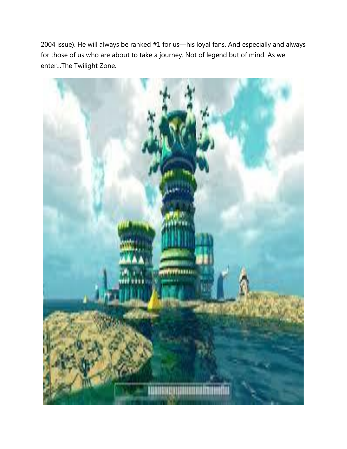2004 issue). He will always be ranked #1 for us—his loyal fans. And especially and always for those of us who are about to take a journey. Not of legend but of mind. As we enter…The Twilight Zone.

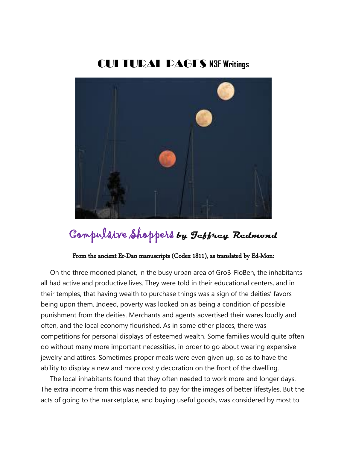# CULTURAL PAGES **N3F Writings**



# Compulsive Shoppers **by Jeffrey Redmond**

## From the ancient Er-Dan manuscripts (Codex 1811), as translated by Ed-Mon:

 On the three mooned planet, in the busy urban area of GroB-FloBen, the inhabitants all had active and productive lives. They were told in their educational centers, and in their temples, that having wealth to purchase things was a sign of the deities' favors being upon them. Indeed, poverty was looked on as being a condition of possible punishment from the deities. Merchants and agents advertised their wares loudly and often, and the local economy flourished. As in some other places, there was competitions for personal displays of esteemed wealth. Some families would quite often do without many more important necessities, in order to go about wearing expensive jewelry and attires. Sometimes proper meals were even given up, so as to have the ability to display a new and more costly decoration on the front of the dwelling.

 The local inhabitants found that they often needed to work more and longer days. The extra income from this was needed to pay for the images of better lifestyles. But the acts of going to the marketplace, and buying useful goods, was considered by most to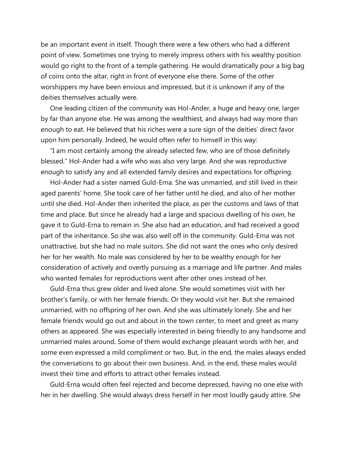be an important event in itself. Though there were a few others who had a different point of view. Sometimes one trying to merely impress others with his wealthy position would go right to the front of a temple gathering. He would dramatically pour a big bag of coins onto the altar, right in front of everyone else there. Some of the other worshippers my have been envious and impressed, but it is unknown if any of the deities themselves actually were.

 One leading citizen of the community was Hol-Ander, a huge and heavy one, larger by far than anyone else. He was among the wealthiest, and always had way more than enough to eat. He believed that his riches were a sure sign of the deities' direct favor upon him personally. Indeed, he would often refer to himself in this way:

 "I am most certainly among the already selected few, who are of those definitely blessed." Hol-Ander had a wife who was also very large. And she was reproductive enough to satisfy any and all extended family desires and expectations for offspring.

 Hol-Ander had a sister named Guld-Erna. She was unmarried, and still lived in their aged parents' home. She took care of her father until he died, and also of her mother until she died. Hol-Ander then inherited the place, as per the customs and laws of that time and place. But since he already had a large and spacious dwelling of his own, he gave it to Guld-Erna to remain in. She also had an education, and had received a good part of the inheritance. So she was also well off in the community. Guld-Erna was not unattractive, but she had no male suitors. She did not want the ones who only desired her for her wealth. No male was considered by her to be wealthy enough for her consideration of actively and overtly pursuing as a marriage and life partner. And males who wanted females for reproductions went after other ones instead of her.

 Guld-Erna thus grew older and lived alone. She would sometimes visit with her brother's family, or with her female friends. Or they would visit her. But she remained unmarried, with no offspring of her own. And she was ultimately lonely. She and her female friends would go out and about in the town center, to meet and greet as many others as appeared. She was especially interested in being friendly to any handsome and unmarried males around. Some of them would exchange pleasant words with her, and some even expressed a mild compliment or two. But, in the end, the males always ended the conversations to go about their own business. And, in the end, these males would invest their time and efforts to attract other females instead.

 Guld-Erna would often feel rejected and become depressed, having no one else with her in her dwelling. She would always dress herself in her most loudly gaudy attire. She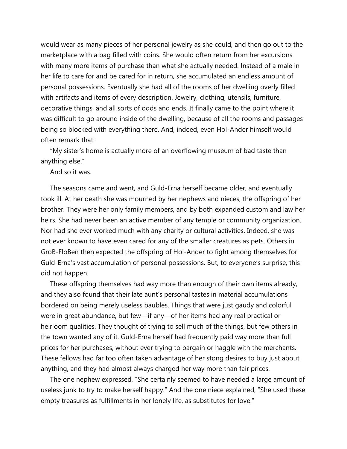would wear as many pieces of her personal jewelry as she could, and then go out to the marketplace with a bag filled with coins. She would often return from her excursions with many more items of purchase than what she actually needed. Instead of a male in her life to care for and be cared for in return, she accumulated an endless amount of personal possessions. Eventually she had all of the rooms of her dwelling overly filled with artifacts and items of every description. Jewelry, clothing, utensils, furniture, decorative things, and all sorts of odds and ends. It finally came to the point where it was difficult to go around inside of the dwelling, because of all the rooms and passages being so blocked with everything there. And, indeed, even Hol-Ander himself would often remark that:

 "My sister's home is actually more of an overflowing museum of bad taste than anything else."

And so it was.

 The seasons came and went, and Guld-Erna herself became older, and eventually took ill. At her death she was mourned by her nephews and nieces, the offspring of her brother. They were her only family members, and by both expanded custom and law her heirs. She had never been an active member of any temple or community organization. Nor had she ever worked much with any charity or cultural activities. Indeed, she was not ever known to have even cared for any of the smaller creatures as pets. Others in GroB-FloBen then expected the offspring of Hol-Ander to fight among themselves for Guld-Erna's vast accumulation of personal possessions. But, to everyone's surprise, this did not happen.

 These offspring themselves had way more than enough of their own items already, and they also found that their late aunt's personal tastes in material accumulations bordered on being merely useless baubles. Things that were just gaudy and colorful were in great abundance, but few—if any—of her items had any real practical or heirloom qualities. They thought of trying to sell much of the things, but few others in the town wanted any of it. Guld-Erna herself had frequently paid way more than full prices for her purchases, without ever trying to bargain or haggle with the merchants. These fellows had far too often taken advantage of her stong desires to buy just about anything, and they had almost always charged her way more than fair prices.

 The one nephew expressed, "She certainly seemed to have needed a large amount of useless junk to try to make herself happy." And the one niece explained, "She used these empty treasures as fulfillments in her lonely life, as substitutes for love."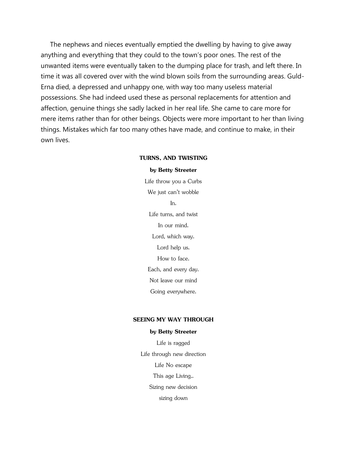The nephews and nieces eventually emptied the dwelling by having to give away anything and everything that they could to the town's poor ones. The rest of the unwanted items were eventually taken to the dumping place for trash, and left there. In time it was all covered over with the wind blown soils from the surrounding areas. Guld-Erna died, a depressed and unhappy one, with way too many useless material possessions. She had indeed used these as personal replacements for attention and affection, genuine things she sadly lacked in her real life. She came to care more for mere items rather than for other beings. Objects were more important to her than living things. Mistakes which far too many othes have made, and continue to make, in their own lives.

## **TURNS, AND TWISTING**

## **by Betty Streeter**

Life throw you a Curbs We just can't wobble In. Life turns, and twist In our mind. Lord, which way. Lord help us. How to face. Each, and every day. Not leave our mind Going everywhere.

## **SEEING MY WAY THROUGH**

#### **by Betty Streeter**

Life is ragged Life through new direction Life No escape This age Living.. Sizing new decision sizing down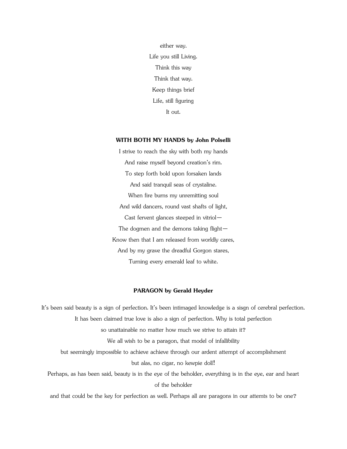either way. Life you still Living. Think this way Think that way. Keep things brief Life, still figuring It out.

#### **WITH BOTH MY HANDS by John Polselli**

I strive to reach the sky with both my hands And raise myself beyond creation's rim. To step forth bold upon forsaken lands And said tranquil seas of crystaline. When fire burns my unremitting soul And wild dancers, round vast shafts of light, Cast fervent glances steeped in vitriol— The dogmen and the demons taking flight— Know then that I am released from worldly cares, And by my grave the dreadful Gorgon stares, Turning every emerald leaf to white.

## **PARAGON by Gerald Heyder**

It's been said beauty is a sign of perfection. It's been intimaged knowledge is a sisgn of cerebral perfection. It has been claimed true love is also a sign of perfection. Why is total perfection so unattainable no matter how much we strive to attain it? We all wish to be a paragon, that model of infallibility but seemingly impossible to achieve achieve through our ardent attempt of accomplishment but alas, no cigar, no kewpie doll! Perhaps, as has been said, beauty is in the eye of the beholder, everything is in the eye, ear and heart of the beholder

and that could be the key for perfection as well. Perhaps all are paragons in our attemts to be one?